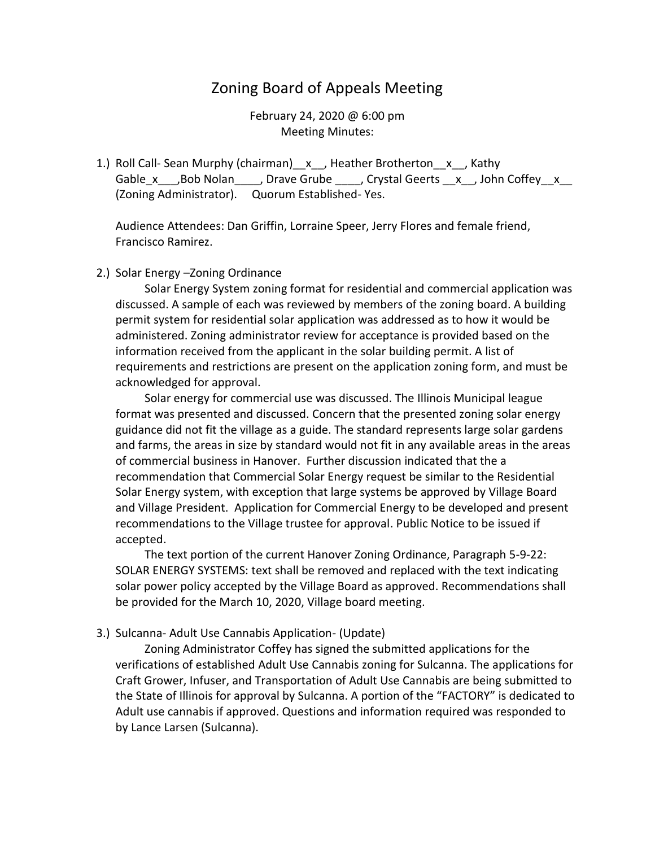## Zoning Board of Appeals Meeting

February 24, 2020 @ 6:00 pm Meeting Minutes:

1.) Roll Call- Sean Murphy (chairman)\_x\_, Heather Brotherton\_x\_, Kathy Gable x ,Bob Nolan , Drave Grube , Crystal Geerts x , John Coffey x (Zoning Administrator). Quorum Established- Yes.

Audience Attendees: Dan Griffin, Lorraine Speer, Jerry Flores and female friend, Francisco Ramirez.

## 2.) Solar Energy –Zoning Ordinance

 Solar Energy System zoning format for residential and commercial application was discussed. A sample of each was reviewed by members of the zoning board. A building permit system for residential solar application was addressed as to how it would be administered. Zoning administrator review for acceptance is provided based on the information received from the applicant in the solar building permit. A list of requirements and restrictions are present on the application zoning form, and must be acknowledged for approval.

 Solar energy for commercial use was discussed. The Illinois Municipal league format was presented and discussed. Concern that the presented zoning solar energy guidance did not fit the village as a guide. The standard represents large solar gardens and farms, the areas in size by standard would not fit in any available areas in the areas of commercial business in Hanover. Further discussion indicated that the a recommendation that Commercial Solar Energy request be similar to the Residential Solar Energy system, with exception that large systems be approved by Village Board and Village President. Application for Commercial Energy to be developed and present recommendations to the Village trustee for approval. Public Notice to be issued if accepted.

 The text portion of the current Hanover Zoning Ordinance, Paragraph 5-9-22: SOLAR ENERGY SYSTEMS: text shall be removed and replaced with the text indicating solar power policy accepted by the Village Board as approved. Recommendations shall be provided for the March 10, 2020, Village board meeting.

3.) Sulcanna- Adult Use Cannabis Application- (Update)

 Zoning Administrator Coffey has signed the submitted applications for the verifications of established Adult Use Cannabis zoning for Sulcanna. The applications for Craft Grower, Infuser, and Transportation of Adult Use Cannabis are being submitted to the State of Illinois for approval by Sulcanna. A portion of the "FACTORY" is dedicated to Adult use cannabis if approved. Questions and information required was responded to by Lance Larsen (Sulcanna).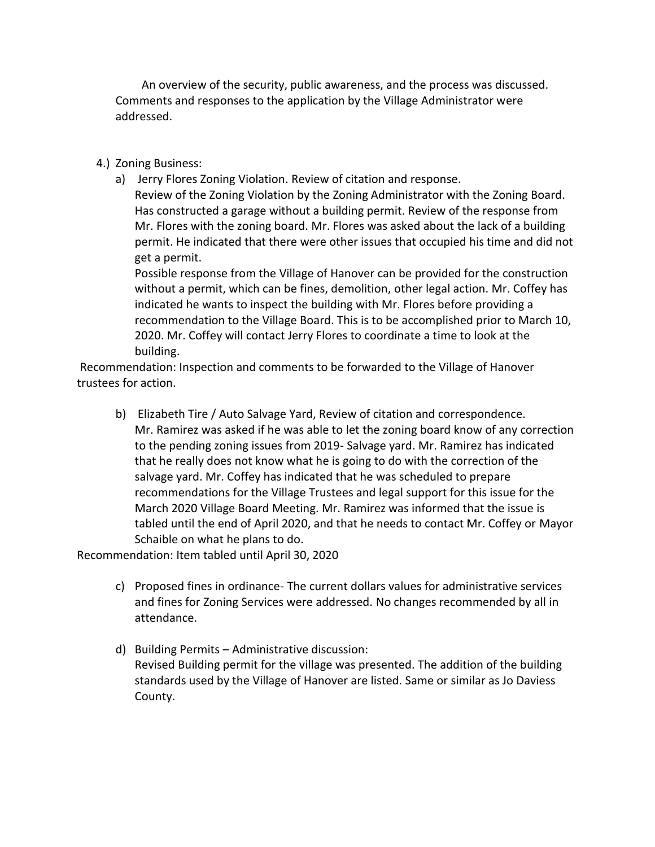An overview of the security, public awareness, and the process was discussed. Comments and responses to the application by the Village Administrator were addressed.

- 4.) Zoning Business:
	- a) Jerry Flores Zoning Violation. Review of citation and response.

Review of the Zoning Violation by the Zoning Administrator with the Zoning Board. Has constructed a garage without a building permit. Review of the response from Mr. Flores with the zoning board. Mr. Flores was asked about the lack of a building permit. He indicated that there were other issues that occupied his time and did not get a permit.

Possible response from the Village of Hanover can be provided for the construction without a permit, which can be fines, demolition, other legal action. Mr. Coffey has indicated he wants to inspect the building with Mr. Flores before providing a recommendation to the Village Board. This is to be accomplished prior to March 10, 2020. Mr. Coffey will contact Jerry Flores to coordinate a time to look at the building.

Recommendation: Inspection and comments to be forwarded to the Village of Hanover trustees for action.

b) Elizabeth Tire / Auto Salvage Yard, Review of citation and correspondence. Mr. Ramirez was asked if he was able to let the zoning board know of any correction to the pending zoning issues from 2019- Salvage yard. Mr. Ramirez has indicated that he really does not know what he is going to do with the correction of the salvage yard. Mr. Coffey has indicated that he was scheduled to prepare recommendations for the Village Trustees and legal support for this issue for the March 2020 Village Board Meeting. Mr. Ramirez was informed that the issue is tabled until the end of April 2020, and that he needs to contact Mr. Coffey or Mayor Schaible on what he plans to do.

Recommendation: Item tabled until April 30, 2020

- c) Proposed fines in ordinance- The current dollars values for administrative services and fines for Zoning Services were addressed. No changes recommended by all in attendance.
- d) Building Permits Administrative discussion: Revised Building permit for the village was presented. The addition of the building standards used by the Village of Hanover are listed. Same or similar as Jo Daviess County.